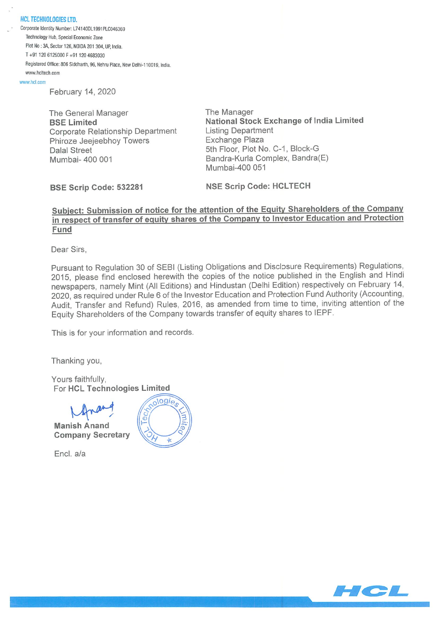HCL TECHNOLOGIES LTD. Corporate Identity Number: L74140DL1991PLC046369 Technology Hub, Special Economic Zone Plot No: 34, Sector 126, NOIDA 201 304. UP. India. T+91 1206125000F+91 1204683030 Registered Office: 806 Siddharth, 96, Nehru Place, New Delhi-110019, India. www.hcltech.com

www.hcl.com

February 14, 2020

The General Manager BSE Limited Corporate Relationship Department Phiroze Jeejeebhoy Towers Dalal Street Mumbai- 400 001

The Manager National Stock Exchange of India Limited Listing Department Exchange Plaza 5th Floor, Plot No. C-I, Block-G Bandra-Kurla Complex, Bandra(E) Mumbai-400 051

BSE Scrip Code: 532281

NSE Scrip Code: HCLTECH

### Subiect: Submission of notice for the attention of the Equity Shareholders of the Company in respect of transfer of equity shares of the Company to Investor Education and Protection Fund

Dear Sirs,

Pursuant to Regulation 30 of SEBI (Listing Obligations and Disclosure Requirements) Regulations, 2015, please find enclosed herewith the copies of the notice published in the English and Hindi newspapers, namely Mint (All Editions) and Hindustan (Delhi Edition) respectively on February 14, 2020, as required under Rule 6 of the Investor Education and Protection Fund Authority (Accounting, Audit, Transfer and Refund) Rules, 2016, as amended from time to time, inviting attention of the Equity Shareholders of the Company towards transfer of equity shares to IEPF.

This is for your information and records.

Thanking you,

Yours faithfully, For HCL Technologies Limited

Manish Anand Company Secretary

Encl. a/a



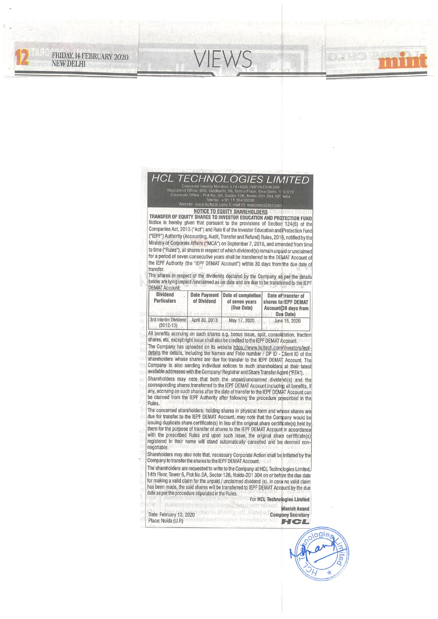## **HCL TECHNOLOGIES LIMITED**

FRIDAY, 14 FEBRUARY 2020

**NEW DELHI** 

#### **NOTICE TO EQUITY SHAREHOLDERS**

www.hc

TRANSFER OF EQUITY SHARES TO INVESTOR EDUCATION AND PROTECTION FUND Notice is hereby given that pursuant to the provisions of Section 124(6) of the Companies Act, 2013 ("Act") and Rule 6 of the Investor Education and Protection Fund ("IEPF") Authority (Accounting, Audit, Transfer and Refund) Rules, 2016, notified by the Ministry of Corporate Affairs ("MCA") on September 7, 2016, and amended from time to time ("Rules"), all shares in respect of which dividend(s) remain unpaid or unclaimed for a period of seven consecutive years shall be transferred to the DEMAT Account of the IEPF Authority (the "IEPF DEMAT Account") within 30 days from the due date of transfer.

The shares in respect of the dividends declared by the Company as per the details below are lying unpaid /unclaimed as on date and are due to be transferred to the IEPF **DEMAT Account:** 

| <b>Dividend</b><br><b>Particulars</b> | of Dividend    | Date Payment   Date of completion  <br>of seven years<br>(Due Date) | Date of transfer of<br>shares to IEPF DEMAT<br>Account (30 days from<br>Due Date) |
|---------------------------------------|----------------|---------------------------------------------------------------------|-----------------------------------------------------------------------------------|
| 3rd Interim Dividend<br>$(2012 - 13)$ | April 30, 2013 | May 17, 2020                                                        | June 15, 2020                                                                     |

All benefits accruing on such shares e.g. bonus issue, split, consolidation, fraction shares, etc. except right issue shall also be credited to the IEPF DEMAT Account.

The Company has uploaded on its website httos://www.hcltech.com/investors/iepfdetails the details, including the Names and Folio number / DP ID - Client ID of the shareholders whose shares are due for transfer to the IEPF DEMAT Account. The Company is also sending individual notices to such shareholders at their latest available addresses with the Company/ Registrar and Share Transfer Agent ("RTA"). Shareholders may note that both the unpaid/unclaimed dividend(s) and the 'n

corresponding shares transferred to the IEPF DEMAT Account including all benefits, if any, accruing on such shares after the date of transfer to the IEPF DEMAT Account can be claimed from the IEPF Authority after following the procedure prescribed in the Rules.

The concerned shareholders, holding shares in physical form and whose shares are due for transfer to the IEPF DEMAT Account, may note that the Company would be issuing duplicate share certificate(s) in lieu of the original share certificate(s) held by them for the purpose of transfer of shares to the IEPF DEMAT Account in accordance with the prescribed Rules and upon such issue, the original share certificate(s) registered in their name will stand automatically cancelled and be deemed nonnegotiable

Shareholders may also note that, necessary Corporate Action shall be initiated by the Company to transfer the shares to the IEPF DEMAT Account.

The shareholders are requested to write to the Company at HCL Technclogies Limited, 14th Floor, Tower 6, Plot No.3A, Sector 126, Noida-201 304 on or before the due date for making a valid claim for the unpaid / unclaimed dividend (s). In case no valid claim has been made, the said shares will be transferred to IEPF DEMAT Account by the due date as per the procedure stipulated in the Rules.

For HCL Technologies Limited **TOXS SHOW ON WE CAN SEALOR Manish Anand** Date: February 13, 2020 Web to describe the company Secretary Place: Noida (U.P.) HCI

ogie